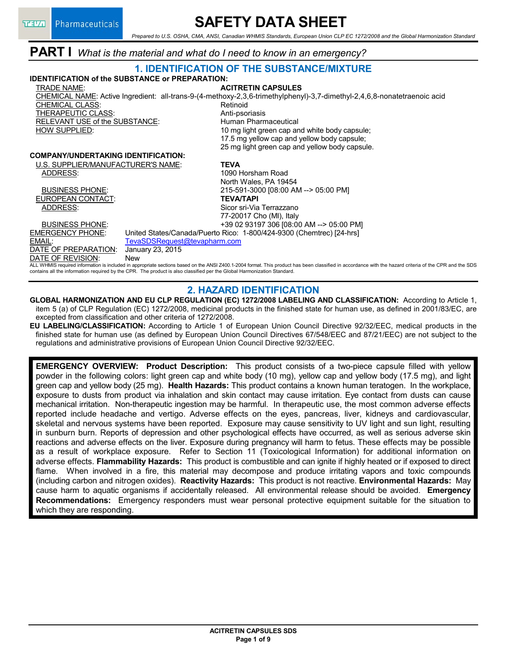# **SAFETY DATA SHEET**

*Prepared to U.S. OSHA, CMA, ANSI, Canadian WHMIS Standards, European Union CLP EC 1272/2008 and the Global Harmonization Standard*

# **PART I** *What is the material and what do I need to know in an emergency?*

#### **1. IDENTIFICATION OF THE SUBSTANCE/MIXTURE IDENTIFICATION of the SUBSTANCE or PREPARATION:** TRADE NAME: **ACITRETIN CAPSULES** CHEMICAL NAME: Active Ingredient: all-trans-9-(4-methoxy-2,3,6-trimethylphenyl)-3,7-dimethyl-2,4,6,8-nonatetraenoic acid CHEMICAL CLASS: Retinoid THERAPEUTIC CLASS:<br>
RELEVANT USE of the SUBSTANCE: 
Human Pharmaceutical

Human Pharmaceutical RELEVANT USE of the SUBSTANCE: HOW SUPPLIED: 10 mg light green cap and white body capsule; 17.5 mg yellow cap and yellow body capsule; 25 mg light green cap and yellow body capsule. **COMPANY/UNDERTAKING IDENTIFICATION:** U.S. SUPPLIER/MANUFACTURER'S NAME: **TEVA** ADDRESS: 1090 Horsham Road North Wales, PA 19454 BUSINESS PHONE: 215-591-3000 [08:00 AM --> 05:00 PM] EUROPEAN CONTACT: **TEVA/TAPI** ADDRESS: Sicor sri-Via Terrazzano 77-20017 Cho (MI), Italy BUSINESS PHONE: +39 02 93197 306 [08:00 AM --> 05:00 PM] EMERGENCY PHONE: United States/Canada/Puerto Rico: 1-800/424-9300 (Chemtrec) [24-hrs] EMAIL:<br>
<u>DATE OF PREPARATION</u>: January 23, 2015 DATE OF PREPARATION: Janu<br>DATE OF REVISION: New DATE OF REVISION: ALL WHMIS required information is included in appropriate sections based on the ANSI Z400.1-2004 format. This product has been classified in accordance with the hazard criteria of the CPR and the SDS contains all the information required by the CPR. The product is also classified per the Global Harmonization Standard.

### **2. HAZARD IDENTIFICATION**

**GLOBAL HARMONIZATION AND EU CLP REGULATION (EC) 1272/2008 LABELING AND CLASSIFICATION:** According to Article 1, item 5 (a) of CLP Regulation (EC) 1272/2008, medicinal products in the finished state for human use, as defined in 2001/83/EC, are excepted from classification and other criteria of 1272/2008.

**EU LABELING/CLASSIFICATION:** According to Article 1 of European Union Council Directive 92/32/EEC, medical products in the finished state for human use (as defined by European Union Council Directives 67/548/EEC and 87/21/EEC) are not subject to the regulations and administrative provisions of European Union Council Directive 92/32/EEC.

**EMERGENCY OVERVIEW: Product Description:** This product consists of a two-piece capsule filled with yellow powder in the following colors: light green cap and white body (10 mg), yellow cap and yellow body (17.5 mg), and light green cap and yellow body (25 mg). **Health Hazards:** This product contains a known human teratogen. In the workplace, exposure to dusts from product via inhalation and skin contact may cause irritation. Eye contact from dusts can cause mechanical irritation. Non-therapeutic ingestion may be harmful. In therapeutic use, the most common adverse effects reported include headache and vertigo. Adverse effects on the eyes, pancreas, liver, kidneys and cardiovascular, skeletal and nervous systems have been reported. Exposure may cause sensitivity to UV light and sun light, resulting in sunburn burn. Reports of depression and other psychological effects have occurred, as well as serious adverse skin reactions and adverse effects on the liver. Exposure during pregnancy will harm to fetus. These effects may be possible as a result of workplace exposure. Refer to Section 11 (Toxicological Information) for additional information on adverse effects. **Flammability Hazards:** This product is combustible and can ignite if highly heated or if exposed to direct flame. When involved in a fire, this material may decompose and produce irritating vapors and toxic compounds (including carbon and nitrogen oxides). **Reactivity Hazards:** This product is not reactive. **Environmental Hazards:** May cause harm to aquatic organisms if accidentally released. All environmental release should be avoided. **Emergency Recommendations:** Emergency responders must wear personal protective equipment suitable for the situation to which they are responding.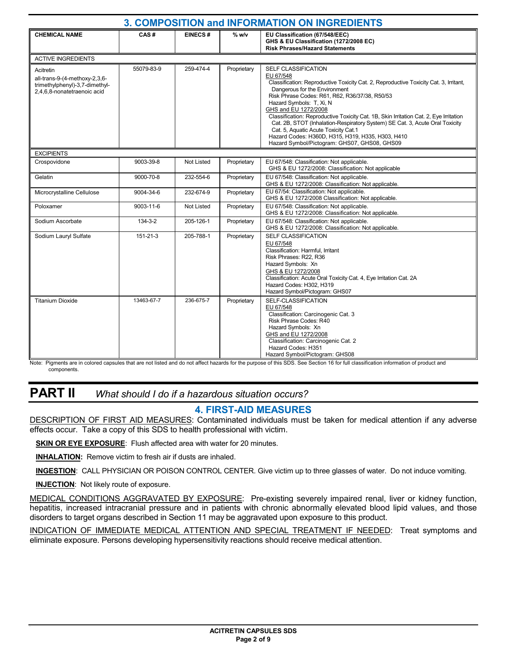| 3. COMPOSITION and INFORMATION ON INGREDIENTS                                                               |            |                |             |                                                                                                                                                                                                                                                                                                                                                                                                                                                                                                                                                                                        |  |
|-------------------------------------------------------------------------------------------------------------|------------|----------------|-------------|----------------------------------------------------------------------------------------------------------------------------------------------------------------------------------------------------------------------------------------------------------------------------------------------------------------------------------------------------------------------------------------------------------------------------------------------------------------------------------------------------------------------------------------------------------------------------------------|--|
| <b>CHEMICAL NAME</b>                                                                                        | CAS#       | <b>EINECS#</b> | $%$ w/v     | EU Classification (67/548/EEC)<br>GHS & EU Classification (1272/2008 EC)<br><b>Risk Phrases/Hazard Statements</b>                                                                                                                                                                                                                                                                                                                                                                                                                                                                      |  |
| <b>ACTIVE INGREDIENTS</b>                                                                                   |            |                |             |                                                                                                                                                                                                                                                                                                                                                                                                                                                                                                                                                                                        |  |
| Acitretin<br>all-trans-9-(4-methoxy-2,3,6-<br>trimethylphenyl)-3,7-dimethyl-<br>2.4.6.8-nonatetraenoic acid | 55079-83-9 | 259-474-4      | Proprietary | SELF CLASSIFICATION<br>EU 67/548<br>Classification: Reproductive Toxicity Cat. 2, Reproductive Toxicity Cat. 3, Irritant,<br>Dangerous for the Environment<br>Risk Phrase Codes: R61, R62, R36/37/38, R50/53<br>Hazard Symbols: T, Xi, N<br>GHS and EU 1272/2008<br>Classification: Reproductive Toxicity Cat. 1B, Skin Irritation Cat. 2, Eye Irritation<br>Cat. 2B, STOT (Inhalation-Respiratory System) SE Cat. 3, Acute Oral Toxicity<br>Cat. 5, Aquatic Acute Toxicity Cat.1<br>Hazard Codes: H360D, H315, H319, H335, H303, H410<br>Hazard Symbol/Pictogram: GHS07, GHS08, GHS09 |  |
| <b>EXCIPIENTS</b>                                                                                           |            |                |             |                                                                                                                                                                                                                                                                                                                                                                                                                                                                                                                                                                                        |  |
| Crospovidone                                                                                                | 9003-39-8  | Not Listed     | Proprietary | EU 67/548: Classification: Not applicable.<br>GHS & EU 1272/2008: Classification: Not applicable                                                                                                                                                                                                                                                                                                                                                                                                                                                                                       |  |
| Gelatin                                                                                                     | 9000-70-8  | 232-554-6      | Proprietary | EU 67/548: Classification: Not applicable.<br>GHS & EU 1272/2008: Classification: Not applicable.                                                                                                                                                                                                                                                                                                                                                                                                                                                                                      |  |
| Microcrystalline Cellulose                                                                                  | 9004-34-6  | 232-674-9      | Proprietary | EU 67/54: Classification: Not applicable.<br>GHS & EU 1272/2008 Classification: Not applicable.                                                                                                                                                                                                                                                                                                                                                                                                                                                                                        |  |
| Poloxamer                                                                                                   | 9003-11-6  | Not Listed     | Proprietary | EU 67/548: Classification: Not applicable.<br>GHS & EU 1272/2008: Classification: Not applicable.                                                                                                                                                                                                                                                                                                                                                                                                                                                                                      |  |
| Sodium Ascorbate                                                                                            | 134-3-2    | 205-126-1      | Proprietary | EU 67/548: Classification: Not applicable.<br>GHS & EU 1272/2008: Classification: Not applicable.                                                                                                                                                                                                                                                                                                                                                                                                                                                                                      |  |
| Sodium Lauryl Sulfate                                                                                       | 151-21-3   | 205-788-1      | Proprietary | SELF CLASSIFICATION<br>EU 67/548<br>Classification: Harmful. Irritant<br>Risk Phrases: R22, R36<br>Hazard Symbols: Xn<br>GHS & EU 1272/2008<br>Classification: Acute Oral Toxicity Cat. 4, Eye Irritation Cat. 2A<br>Hazard Codes: H302. H319<br>Hazard Symbol/Pictogram: GHS07                                                                                                                                                                                                                                                                                                        |  |
| <b>Titanium Dioxide</b>                                                                                     | 13463-67-7 | 236-675-7      | Proprietary | SELF-CLASSIFICATION<br>EU 67/548<br>Classification: Carcinogenic Cat. 3<br>Risk Phrase Codes: R40<br>Hazard Symbols: Xn<br>GHS and EU 1272/2008<br>Classification: Carcinogenic Cat. 2<br>Hazard Codes: H351<br>Hazard Symbol/Pictogram: GHS08                                                                                                                                                                                                                                                                                                                                         |  |

Note: Pigments are in colored capsules that are not listed and do not affect hazards for the purpose of this SDS. See Section 16 for full classification information of product and components.

# **PART II** *What should I do if a hazardous situation occurs?*

## **4. FIRST-AID MEASURES**

DESCRIPTION OF FIRST AID MEASURES: Contaminated individuals must be taken for medical attention if any adverse effects occur. Take a copy of this SDS to health professional with victim.

**SKIN OR EYE EXPOSURE**: Flush affected area with water for 20 minutes.

**INHALATION:** Remove victim to fresh air if dusts are inhaled.

**INGESTION**: CALL PHYSICIAN OR POISON CONTROL CENTER. Give victim up to three glasses of water. Do not induce vomiting.

**INJECTION**: Not likely route of exposure.

MEDICAL CONDITIONS AGGRAVATED BY EXPOSURE: Pre-existing severely impaired renal, liver or kidney function, hepatitis, increased intracranial pressure and in patients with chronic abnormally elevated blood lipid values, and those disorders to target organs described in Section 11 may be aggravated upon exposure to this product.

INDICATION OF IMMEDIATE MEDICAL ATTENTION AND SPECIAL TREATMENT IF NEEDED: Treat symptoms and eliminate exposure. Persons developing hypersensitivity reactions should receive medical attention.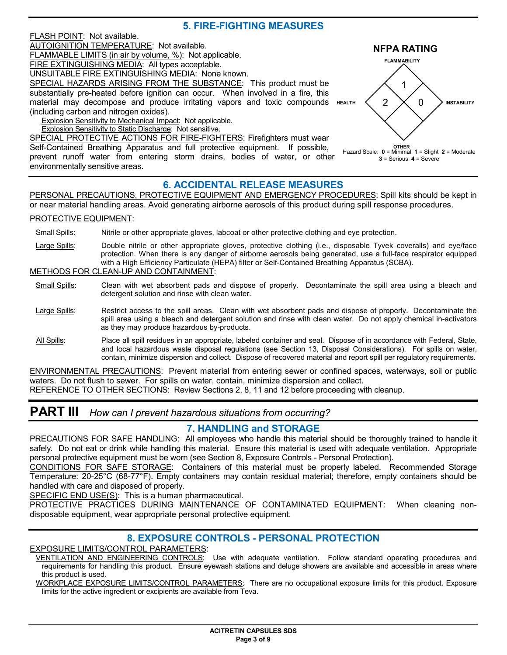### **5. FIRE-FIGHTING MEASURES**



### **6. ACCIDENTAL RELEASE MEASURES**

PERSONAL PRECAUTIONS, PROTECTIVE EQUIPMENT AND EMERGENCY PROCEDURES: Spill kits should be kept in or near material handling areas. Avoid generating airborne aerosols of this product during spill response procedures.

#### PROTECTIVE EQUIPMENT:

Small Spills: Nitrile or other appropriate gloves, labcoat or other protective clothing and eye protection.

Large Spills: Double nitrile or other appropriate gloves, protective clothing (i.e., disposable Tyvek coveralls) and eye/face protection. When there is any danger of airborne aerosols being generated, use a full-face respirator equipped with a High Efficiency Particulate (HEPA) filter or Self-Contained Breathing Apparatus (SCBA).

#### METHODS FOR CLEAN-UP AND CONTAINMENT:

- Small Spills: Clean with wet absorbent pads and dispose of properly. Decontaminate the spill area using a bleach and detergent solution and rinse with clean water.
- Large Spills: Restrict access to the spill areas. Clean with wet absorbent pads and dispose of properly. Decontaminate the spill area using a bleach and detergent solution and rinse with clean water. Do not apply chemical in-activators as they may produce hazardous by-products.
- All Spills: Place all spill residues in an appropriate, labeled container and seal. Dispose of in accordance with Federal, State, and local hazardous waste disposal regulations (see Section 13, Disposal Considerations). For spills on water, contain, minimize dispersion and collect. Dispose of recovered material and report spill per regulatory requirements.

ENVIRONMENTAL PRECAUTIONS: Prevent material from entering sewer or confined spaces, waterways, soil or public waters. Do not flush to sewer. For spills on water, contain, minimize dispersion and collect.

REFERENCE TO OTHER SECTIONS: Review Sections 2, 8, 11 and 12 before proceeding with cleanup.

# **PART III** *How can I prevent hazardous situations from occurring?*

### **7. HANDLING and STORAGE**

PRECAUTIONS FOR SAFE HANDLING: All employees who handle this material should be thoroughly trained to handle it safely. Do not eat or drink while handling this material. Ensure this material is used with adequate ventilation. Appropriate personal protective equipment must be worn (see Section 8, Exposure Controls - Personal Protection).

CONDITIONS FOR SAFE STORAGE: Containers of this material must be properly labeled. Recommended Storage Temperature: 20-25°C (68-77°F). Empty containers may contain residual material; therefore, empty containers should be handled with care and disposed of properly.

SPECIFIC END USE(S): This is a human pharmaceutical.

PROTECTIVE PRACTICES DURING MAINTENANCE OF CONTAMINATED EQUIPMENT: When cleaning nondisposable equipment, wear appropriate personal protective equipment.

### **8. EXPOSURE CONTROLS - PERSONAL PROTECTION**

EXPOSURE LIMITS/CONTROL PARAMETERS:

VENTILATION AND ENGINEERING CONTROLS: Use with adequate ventilation. Follow standard operating procedures and requirements for handling this product. Ensure eyewash stations and deluge showers are available and accessible in areas where this product is used.

WORKPLACE EXPOSURE LIMITS/CONTROL PARAMETERS: There are no occupational exposure limits for this product. Exposure limits for the active ingredient or excipients are available from Teva.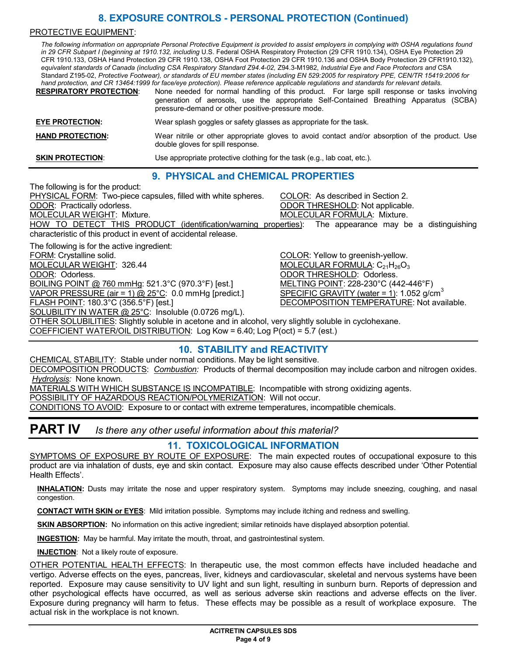## **8. EXPOSURE CONTROLS - PERSONAL PROTECTION (Continued)**

#### PROTECTIVE EQUIPMENT:

*The following information on appropriate Personal Protective Equipment is provided to assist employers in complying with OSHA regulations found in 29 CFR Subpart I (beginning at 1910.132, including* U.S. Federal OSHA Respiratory Protection (29 CFR 1910.134), OSHA Eye Protection 29 CFR 1910.133, OSHA Hand Protection 29 CFR 1910.138, OSHA Foot Protection 29 CFR 1910.136 and OSHA Body Protection 29 CFR1910.132)*, equivalent standards of Canada (including CSA Respiratory Standard Z94.4-02,* Z94.3-M1982, *Industrial Eye and Face Protectors and* CSA Standard Z195-02, *Protective Footwear), or standards of EU member states (including EN 529:2005 for respiratory PPE, CEN/TR 15419:2006 for hand protection, and CR 13464:1999 for face/eye protection). Please reference applicable regulations and standards for relevant details.*

**RESPIRATORY PROTECTION**: None needed for normal handling of this product. For large spill response or tasks involving generation of aerosols, use the appropriate Self-Contained Breathing Apparatus (SCBA) pressure-demand or other positive-pressure mode. **EYE PROTECTION:** Wear splash goggles or safety glasses as appropriate for the task. **HAND PROTECTION:** Wear nitrile or other appropriate gloves to avoid contact and/or absorption of the product. Use double gloves for spill response.

**SKIN PROTECTION:** Use appropriate protective clothing for the task (e.g., lab coat, etc.).

### **9. PHYSICAL and CHEMICAL PROPERTIES**

The following is for the product: PHYSICAL FORM: Two-piece capsules, filled with white spheres. COLOR: As described in Section 2. ODOR: Practically odorless. ODOR THRESHOLD: Not applicable. MOLECULAR WEIGHT: Mixture. **MOLECULAR FORMULA: Mixture.** MOLECULAR FORMULA: Mixture. HOW TO DETECT THIS PRODUCT (identification/warning properties): The appearance may be a distinguishing characteristic of this product in event of accidental release. The following is for the active ingredient: FORM: Crystalline solid. The solid control of the color of the COLOR: Yellow to greenish-yellow. MOLECULAR WEIGHT: 326.44 MOLECULAR FORMULA:  $C_{21}H_{26}O_3$ ODOR: Odorless. ODOR THRESHOLD: Odorless. BOILING POINT @ 760 mmHg: 521.3°C (970.3°F) [est.] MELTING POINT: 228-230°C (442-446°F) VAPOR PRESSURE (air = 1) @ 25°C: 0.0 mmHg [predict.] SPECIFIC GRAVITY (water = 1): 1.052 g/cm<sup>3</sup> FLASH POINT: 180.3°C (356.5°F) [est.] DECOMPOSITION TEMPERATURE: Not available. SOLUBILITY IN WATER @ 25°C: Insoluble (0.0726 mg/L). OTHER SOLUBILITIES: Slightly soluble in acetone and in alcohol, very slightly soluble in cyclohexane. COEFFICIENT WATER/OIL DISTRIBUTION: Log Kow = 6.40; Log P(oct) = 5.7 (est.)

### **10. STABILITY and REACTIVITY**

CHEMICAL STABILITY: Stable under normal conditions. May be light sensitive. DECOMPOSITION PRODUCTS: *Combustion:* Products of thermal decomposition may include carbon and nitrogen oxides. *Hydrolysis:* None known.

MATERIALS WITH WHICH SUBSTANCE IS INCOMPATIBLE: Incompatible with strong oxidizing agents.

POSSIBILITY OF HAZARDOUS REACTION/POLYMERIZATION: Will not occur.

CONDITIONS TO AVOID: Exposure to or contact with extreme temperatures, incompatible chemicals.

# **PART IV** *Is there any other useful information about this material?*

### **11. TOXICOLOGICAL INFORMATION**

SYMPTOMS OF EXPOSURE BY ROUTE OF EXPOSURE: The main expected routes of occupational exposure to this product are via inhalation of dusts, eye and skin contact. Exposure may also cause effects described under 'Other Potential Health Effects'.

**INHALATION:** Dusts may irritate the nose and upper respiratory system. Symptoms may include sneezing, coughing, and nasal congestion.

**CONTACT WITH SKIN or EYES**: Mild irritation possible. Symptoms may include itching and redness and swelling.

**SKIN ABSORPTION:** No information on this active ingredient; similar retinoids have displayed absorption potential.

**INGESTION:** May be harmful. May irritate the mouth, throat, and gastrointestinal system.

**INJECTION**: Not a likely route of exposure.

OTHER POTENTIAL HEALTH EFFECTS: In therapeutic use, the most common effects have included headache and vertigo. Adverse effects on the eyes, pancreas, liver, kidneys and cardiovascular, skeletal and nervous systems have been reported. Exposure may cause sensitivity to UV light and sun light, resulting in sunburn burn. Reports of depression and other psychological effects have occurred, as well as serious adverse skin reactions and adverse effects on the liver. Exposure during pregnancy will harm to fetus. These effects may be possible as a result of workplace exposure. The actual risk in the workplace is not known.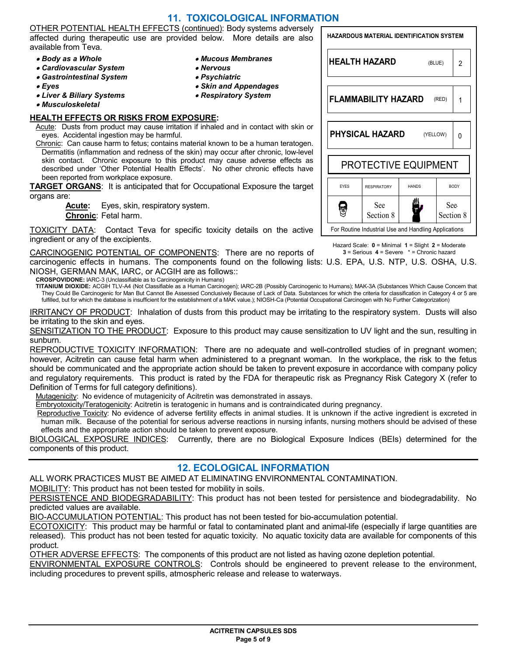### **11. TOXICOLOGICAL INFORMATION**

• *Mucous Membranes*

• *Skin and Appendages* • *Respiratory System*

• *Nervous* • *Psychiatric*

OTHER POTENTIAL HEALTH EFFECTS (continued): Body systems adversely affected during therapeutic use are provided below. More details are also available from Teva.

- *Body as a Whole*
- *Cardiovascular System*
- *Gastrointestinal System*
- *Eyes*
- *Liver & Biliary Systems*
- *Musculoskeletal*

#### **HEALTH EFFECTS OR RISKS FROM EXPOSURE:**

Acute: Dusts from product may cause irritation if inhaled and in contact with skin or eyes. Accidental ingestion may be harmful.

Chronic: Can cause harm to fetus; contains material known to be a human teratogen. Dermatitis (inflammation and redness of the skin) may occur after chronic, low-level skin contact. Chronic exposure to this product may cause adverse effects as described under 'Other Potential Health Effects'. No other chronic effects have been reported from workplace exposure.

**TARGET ORGANS**: It is anticipated that for Occupational Exposure the target organs are:

> **Acute:** Eyes, skin, respiratory system. **Chronic**: Fetal harm.

TOXICITY DATA: Contact Teva for specific toxicity details on the active ingredient or any of the excipients.

CARCINOGENIC POTENTIAL OF COMPONENTS: There are no reports of carcinogenic effects in humans. The components found on the following lists: U.S. EPA, U.S. NTP, U.S. OSHA, U.S.  $3 =$  Serious  $4 =$  Severe  $* =$  Chronic hazard

NIOSH, GERMAN MAK, IARC, or ACGIH are as follows:: **CROSPOVIDONE:** IARC-3 (Unclassifiable as to Carcinogenicity in Humans)

**TITANIUM DIOXIDE:** ACGIH TLV-A4 (Not Classifiable as a Human Carcinogen); IARC-2B (Possibly Carcinogenic to Humans); MAK-3A (Substances Which Cause Concern that They Could Be Carcinogenic for Man But Cannot Be Assessed Conclusively Because of Lack of Data. Substances for which the criteria for classification in Category 4 or 5 are fulfilled, but for which the database is insufficient for the establishment of a MAK value.); NIOSH-Ca (Potential Occupational Carcinogen with No Further Categorization)

IRRITANCY OF PRODUCT: Inhalation of dusts from this product may be irritating to the respiratory system. Dusts will also be irritating to the skin and eyes.

SENSITIZATION TO THE PRODUCT: Exposure to this product may cause sensitization to UV light and the sun, resulting in sunburn.

REPRODUCTIVE TOXICITY INFORMATION: There are no adequate and well-controlled studies of in pregnant women; however, Acitretin can cause fetal harm when administered to a pregnant woman. In the workplace, the risk to the fetus should be communicated and the appropriate action should be taken to prevent exposure in accordance with company policy and regulatory requirements. This product is rated by the FDA for therapeutic risk as Pregnancy Risk Category X (refer to Definition of Terms for full category definitions).

Mutagenicity: No evidence of mutagenicity of Acitretin was demonstrated in assays.

Embryotoxicity/Teratogenicity: Acitretin is teratogenic in humans and is contraindicated during pregnancy.

Reproductive Toxicity: No evidence of adverse fertility effects in animal studies. It is unknown if the active ingredient is excreted in human milk. Because of the potential for serious adverse reactions in nursing infants, nursing mothers should be advised of these effects and the appropriate action should be taken to prevent exposure.

BIOLOGICAL EXPOSURE INDICES: Currently, there are no Biological Exposure Indices (BEIs) determined for the components of this product.

### **12. ECOLOGICAL INFORMATION**

ALL WORK PRACTICES MUST BE AIMED AT ELIMINATING ENVIRONMENTAL CONTAMINATION.

MOBILITY: This product has not been tested for mobility in soils.

PERSISTENCE AND BIODEGRADABILITY: This product has not been tested for persistence and biodegradability. No predicted values are available.

BIO-ACCUMULATION POTENTIAL: This product has not been tested for bio-accumulation potential.

ECOTOXICITY: This product may be harmful or fatal to contaminated plant and animal-life (especially if large quantities are released). This product has not been tested for aquatic toxicity. No aquatic toxicity data are available for components of this product.

OTHER ADVERSE EFFECTS: The components of this product are not listed as having ozone depletion potential.

ENVIRONMENTAL EXPOSURE CONTROLS: Controls should be engineered to prevent release to the environment, including procedures to prevent spills, atmospheric release and release to waterways.

### **HAZARDOUS MATERIAL IDENTIFICATION SYSTEM HEALTH HAZARD** (BLUE) 2 **FLAMMABILITY HAZARD** (RED) 1 **PHYSICAL HAZARD** (YELLOW) 0 PROTECTIVE EQUIPMENT EYES RESPIRATORY HANDS BODY Ш See See Ş Section 8 Section 8

For Routine Industrial Use and Handling Applications

Hazard Scale: **0** = Minimal **1** = Slight **2** = Moderate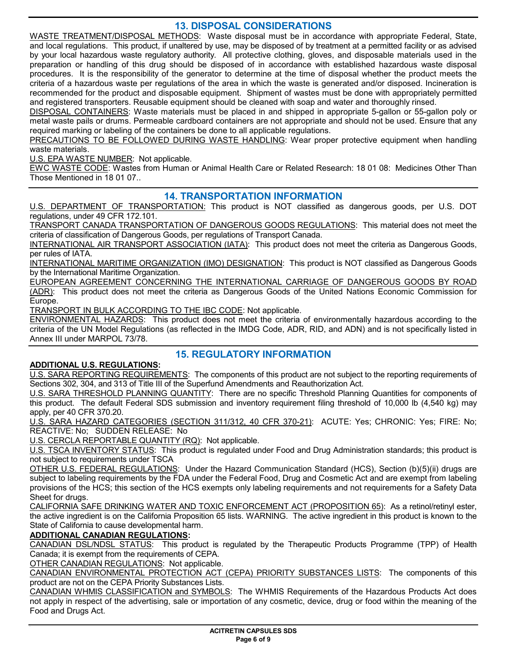### **13. DISPOSAL CONSIDERATIONS**

WASTE TREATMENT/DISPOSAL METHODS: Waste disposal must be in accordance with appropriate Federal, State, and local regulations. This product, if unaltered by use, may be disposed of by treatment at a permitted facility or as advised by your local hazardous waste regulatory authority. All protective clothing, gloves, and disposable materials used in the preparation or handling of this drug should be disposed of in accordance with established hazardous waste disposal procedures. It is the responsibility of the generator to determine at the time of disposal whether the product meets the criteria of a hazardous waste per regulations of the area in which the waste is generated and/or disposed. Incineration is recommended for the product and disposable equipment. Shipment of wastes must be done with appropriately permitted and registered transporters. Reusable equipment should be cleaned with soap and water and thoroughly rinsed.

DISPOSAL CONTAINERS: Waste materials must be placed in and shipped in appropriate 5-gallon or 55-gallon poly or metal waste pails or drums. Permeable cardboard containers are not appropriate and should not be used. Ensure that any required marking or labeling of the containers be done to all applicable regulations.

PRECAUTIONS TO BE FOLLOWED DURING WASTE HANDLING: Wear proper protective equipment when handling waste materials.

U.S. EPA WASTE NUMBER: Not applicable.

EWC WASTE CODE: Wastes from Human or Animal Health Care or Related Research: 18 01 08: Medicines Other Than Those Mentioned in 18 01 07..

### **14. TRANSPORTATION INFORMATION**

U.S. DEPARTMENT OF TRANSPORTATION: This product is NOT classified as dangerous goods, per U.S. DOT regulations, under 49 CFR 172.101.

TRANSPORT CANADA TRANSPORTATION OF DANGEROUS GOODS REGULATIONS: This material does not meet the criteria of classification of Dangerous Goods, per regulations of Transport Canada.

INTERNATIONAL AIR TRANSPORT ASSOCIATION (IATA): This product does not meet the criteria as Dangerous Goods, per rules of IATA.

INTERNATIONAL MARITIME ORGANIZATION (IMO) DESIGNATION: This product is NOT classified as Dangerous Goods by the International Maritime Organization.

EUROPEAN AGREEMENT CONCERNING THE INTERNATIONAL CARRIAGE OF DANGEROUS GOODS BY ROAD (ADR): This product does not meet the criteria as Dangerous Goods of the United Nations Economic Commission for Europe.

TRANSPORT IN BULK ACCORDING TO THE IBC CODE: Not applicable.

ENVIRONMENTAL HAZARDS: This product does not meet the criteria of environmentally hazardous according to the criteria of the UN Model Regulations (as reflected in the IMDG Code, ADR, RID, and ADN) and is not specifically listed in Annex III under MARPOL 73/78.

### **15. REGULATORY INFORMATION**

### **ADDITIONAL U.S. REGULATIONS:**

U.S. SARA REPORTING REQUIREMENTS: The components of this product are not subject to the reporting requirements of Sections 302, 304, and 313 of Title III of the Superfund Amendments and Reauthorization Act.

U.S. SARA THRESHOLD PLANNING QUANTITY: There are no specific Threshold Planning Quantities for components of this product. The default Federal SDS submission and inventory requirement filing threshold of 10,000 lb (4,540 kg) may apply, per 40 CFR 370.20.

U.S. SARA HAZARD CATEGORIES (SECTION 311/312, 40 CFR 370-21): ACUTE: Yes; CHRONIC: Yes; FIRE: No; REACTIVE: No; SUDDEN RELEASE: No

U.S. CERCLA REPORTABLE QUANTITY (RQ): Not applicable.

U.S. TSCA INVENTORY STATUS: This product is regulated under Food and Drug Administration standards; this product is not subject to requirements under TSCA

OTHER U.S. FEDERAL REGULATIONS: Under the Hazard Communication Standard (HCS), Section (b)(5)(ii) drugs are subject to labeling requirements by the FDA under the Federal Food, Drug and Cosmetic Act and are exempt from labeling provisions of the HCS; this section of the HCS exempts only labeling requirements and not requirements for a Safety Data Sheet for drugs.

CALIFORNIA SAFE DRINKING WATER AND TOXIC ENFORCEMENT ACT (PROPOSITION 65): As a retinol/retinyl ester, the active ingredient is on the California Proposition 65 lists. WARNING. The active ingredient in this product is known to the State of California to cause developmental harm.

### **ADDITIONAL CANADIAN REGULATIONS:**

CANADIAN DSL/NDSL STATUS: This product is regulated by the Therapeutic Products Programme (TPP) of Health Canada; it is exempt from the requirements of CEPA.

OTHER CANADIAN REGULATIONS: Not applicable.

CANADIAN ENVIRONMENTAL PROTECTION ACT (CEPA) PRIORITY SUBSTANCES LISTS: The components of this product are not on the CEPA Priority Substances Lists.

CANADIAN WHMIS CLASSIFICATION and SYMBOLS: The WHMIS Requirements of the Hazardous Products Act does not apply in respect of the advertising, sale or importation of any cosmetic, device, drug or food within the meaning of the Food and Drugs Act.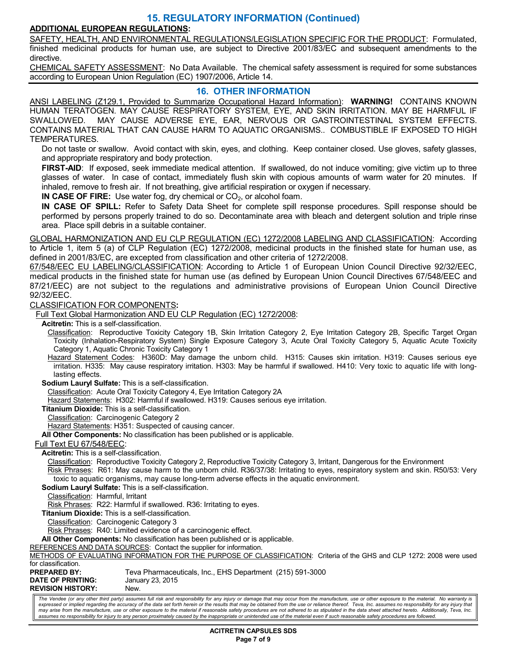### **15. REGULATORY INFORMATION (Continued)**

### **ADDITIONAL EUROPEAN REGULATIONS:**

SAFETY, HEALTH, AND ENVIRONMENTAL REGULATIONS/LEGISLATION SPECIFIC FOR THE PRODUCT: Formulated, finished medicinal products for human use, are subject to Directive 2001/83/EC and subsequent amendments to the directive.

CHEMICAL SAFETY ASSESSMENT: No Data Available. The chemical safety assessment is required for some substances according to European Union Regulation (EC) 1907/2006, Article 14.

#### **16. OTHER INFORMATION**

ANSI LABELING (Z129.1, Provided to Summarize Occupational Hazard Information): **WARNING!** CONTAINS KNOWN HUMAN TERATOGEN. MAY CAUSE RESPIRATORY SYSTEM, EYE, AND SKIN IRRITATION. MAY BE HARMFUL IF SWALLOWED. MAY CAUSE ADVERSE EYE, EAR, NERVOUS OR GASTROINTESTINAL SYSTEM EFFECTS. CONTAINS MATERIAL THAT CAN CAUSE HARM TO AQUATIC ORGANISMS.. COMBUSTIBLE IF EXPOSED TO HIGH TEMPERATURES.

Do not taste or swallow. Avoid contact with skin, eyes, and clothing. Keep container closed. Use gloves, safety glasses, and appropriate respiratory and body protection.

**FIRST-AID:** If exposed, seek immediate medical attention. If swallowed, do not induce vomiting; give victim up to three glasses of water. In case of contact, immediately flush skin with copious amounts of warm water for 20 minutes. If inhaled, remove to fresh air. If not breathing, give artificial respiration or oxygen if necessary.

**IN CASE OF FIRE:** Use water fog, dry chemical or CO<sub>2</sub>, or alcohol foam.

**IN CASE OF SPILL:** Refer to Safety Data Sheet for complete spill response procedures. Spill response should be performed by persons properly trained to do so. Decontaminate area with bleach and detergent solution and triple rinse area. Place spill debris in a suitable container.

GLOBAL HARMONIZATION AND EU CLP REGULATION (EC) 1272/2008 LABELING AND CLASSIFICATION: According to Article 1, item 5 (a) of CLP Regulation (EC) 1272/2008, medicinal products in the finished state for human use, as defined in 2001/83/EC, are excepted from classification and other criteria of 1272/2008.

67/548/EEC EU LABELING/CLASSIFICATION: According to Article 1 of European Union Council Directive 92/32/EEC, medical products in the finished state for human use (as defined by European Union Council Directives 67/548/EEC and 87/21/EEC) are not subject to the regulations and administrative provisions of European Union Council Directive 92/32/EEC.

CLASSIFICATION FOR COMPONENTS**:** 

Full Text Global Harmonization AND EU CLP Regulation (EC) 1272/2008:

**Acitretin:** This is a self-classification.

Classification: Reproductive Toxicity Category 1B, Skin Irritation Category 2, Eye Irritation Category 2B, Specific Target Organ Toxicity (Inhalation-Respiratory System) Single Exposure Category 3, Acute Oral Toxicity Category 5, Aquatic Acute Toxicity Category 1, Aquatic Chronic Toxicity Category 1

Hazard Statement Codes: H360D: May damage the unborn child. H315: Causes skin irritation. H319: Causes serious eye irritation. H335: May cause respiratory irritation. H303: May be harmful if swallowed. H410: Very toxic to aquatic life with longlasting effects.

**Sodium Lauryl Sulfate:** This is a self-classification.

Classification: Acute Oral Toxicity Category 4, Eye Irritation Category 2A

Hazard Statements: H302: Harmful if swallowed. H319: Causes serious eye irritation.

**Titanium Dioxide:** This is a self-classification.

Classification: Carcinogenic Category 2

Hazard Statements: H351: Suspected of causing cancer.

**All Other Components:** No classification has been published or is applicable.

Full Text EU 67/548/EEC:

**Acitretin:** This is a self-classification.

Classification: Reproductive Toxicity Category 2, Reproductive Toxicity Category 3, Irritant, Dangerous for the Environment Risk Phrases: R61: May cause harm to the unborn child. R36/37/38: Irritating to eyes, respiratory system and skin. R50/53: Very toxic to aquatic organisms, may cause long-term adverse effects in the aquatic environment.

**Sodium Lauryl Sulfate:** This is a self-classification.

Classification: Harmful, Irritant

Risk Phrases: R22: Harmful if swallowed. R36: Irritating to eyes.

**Titanium Dioxide:** This is a self-classification.

Classification: Carcinogenic Category 3

Risk Phrases: R40: Limited evidence of a carcinogenic effect.

**All Other Components:** No classification has been published or is applicable.

REFERENCES AND DATA SOURCES: Contact the supplier for information.

METHODS OF EVALUATING INFORMATION FOR THE PURPOSE OF CLASSIFICATION: Criteria of the GHS and CLP 1272: 2008 were used for classification.

| <b>PREPARED BY:</b>      | Teva Pharmaceuticals, Inc., EHS Department (215) 591-3000 |
|--------------------------|-----------------------------------------------------------|
| <b>DATE OF PRINTING:</b> | January 23, 2015                                          |
| <b>REVISION HISTORY:</b> | New.                                                      |

The Vendee (or any other third party) assumes full risk and responsibility for any injury or damage that may occur from the manufacture, use or other exposure to the material. No warranty is expressed or implied regarding the accuracy of the data set forth herein or the results that may be obtained from the use or reliance thereof. Teva, Inc. assumes no responsibility for any injury that *may arise from the manufacture, use or other exposure to the material if reasonable safety procedures are not adhered to as stipulated in the data sheet attached hereto. Additionally, Teva, Inc. assumes no responsibility for injury to any person proximately caused by the inappropriate or unintended use of the material even if such reasonable safety procedures are followed.*

> **ACITRETIN CAPSULES SDS Page 7 of 9**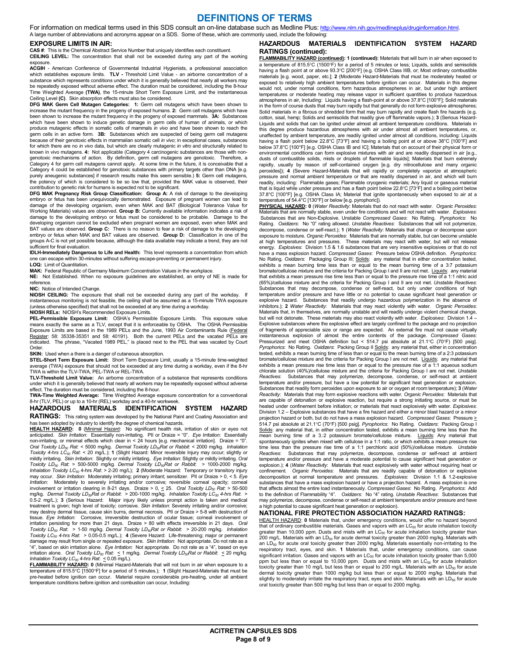### **DEFINITIONS OF TERMS**

For information on medical terms used in this SDS consult an on-line database such as Medline Plus: http://www.nlm.nih.gov/medlineplus/druginformation.html. A large number of abbreviations and acronyms appear on a SDS. Some of these, which are commonly used, include the following:

#### **EXPOSURE LIMITS IN AIR:**

**CAS #**: This is the Chemical Abstract Service Number that uniquely identifies each constituent.

**CEILING LEVEL:** The concentration that shall not be exceeded during any part of the working exposure.<br>**ACGIH** - American Conference of Governmental Industrial Hygienists, a professional association

which establishes exposure limits. **TLV -** Threshold Limit Value - an airborne concentration of a substance which represents conditions under which it is generally believed that nearly all workers may be repeatedly exposed without adverse effect. The duration must be considered, including the 8-hour Time Weighted Average **(TWA)**, the 15-minute Short Term Exposure Limit, and the instantaneous Ceiling Level **(C)**. Skin absorption effects must also be considered.

**DFG MAK Germ Cell Mutagen Categories: 1:** Germ cell mutagens which have been shown to increase the mutant frequency in the progeny of exposed humans. **2:** Germ cell mutagens which have been shown to increase the mutant frequency in the progeny of exposed mammals. **3A:** Substances which have been shown to induce genetic damage in germ cells of human of animals, or which produce mutagenic effects in somatic cells of mammals *in vivo* and have been shown to reach the germ cells in an active form. **3B:** Substances which are suspected of being germ cell mutagens because of their genotoxic effects in mammalian somatic cell *in vivo*; in exceptional cases, substances for which there are no *in vivo* data, but which are clearly mutagenic *in vitro* and structurally related to known in vivo mutagens. **4:** Not applicable (Category 4 carcinogenic substances are those with nongenotoxic mechanisms of action. By definition, germ cell mutagens are genotoxic. Therefore, a Category 4 for germ cell mutagens cannot apply. At some time in the future, it is conceivable that a Category 4 could be established for genotoxic substances with primary targets other than DNA [e.g. purely aneugenic substances] if research results make this seem sensible.) **5:** Germ cell mutagens, the potency of which is considered to be so low that, provided the MAK value is observed, their contribution to genetic risk for humans is expected not to be significant.

**DFG MAK Pregnancy Risk Group Classification: Group A:** A risk of damage to the developing embryo or fetus has been unequivocally demonstrated. Exposure of pregnant women can lead to damage of the developing organism, even when MAK and BAT (Biological Tolerance Value for Working Materials) values are observed. **Group B:** Currently available information indicates a risk of damage to the developing embryo or fetus must be considered to be probable. Damage to the developing organism cannot be excluded when pregnant women are exposed, even when MAK and BAT values are observed. **Group C:** There is no reason to fear a risk of damage to the developing embryo or fetus when MAK and BAT values are observed. **Group D:** Classification in one of the groups A-C is not yet possible because, although the data available may indicate a trend, they are not sufficient for final evaluation.

**IDLH-Immediately Dangerous to Life and Health:** This level represents a concentration from which one can escape within 30-minutes without suffering escape-preventing or permanent injury.

#### **LOQ:** Limit of Quantitation.

**MAK:** Federal Republic of Germany Maximum Concentration Values in the workplace. **NE:** Not Established. When no exposure guidelines are established, an entry of NE is made for reference.

#### **NIC:** Notice of Intended Change.

**NIOSH CEILING:** The exposure that shall not be exceeded during any part of the workday. If instantaneous monitoring is not feasible, the ceiling shall be assumed as a 15-minute TWA exposure (unless otherwise specified) that shall not be exceeded at any time during a workday.

#### **NIOSH RELs:** NIOSH's Recommended Exposure Limits.

**PEL-Permissible Exposure Limit:** OSHA's Permissible Exposure Limits. This exposure value means exactly the same as a TLV, except that it is enforceable by OSHA. The OSHA Permissible Exposure Limits are based in the 1989 PELs and the June, 1993 Air Contaminants Rule (<u>Federal</u><br><u>Register</u>: 58: 35338-35351 and 58: 40191). Both the current PELs and the vacated PELs are<br>indicated. The phrase, "Vacated 1989 **Order** 

#### **SKIN:** Used when a there is a danger of cutaneous absorption.

**STEL-Short Term Exposure Limit:** Short Term Exposure Limit, usually a 15-minute time-weighted average (TWA) exposure that should not be exceeded at any time during a workday, even if the 8-hr TWA is within the TLV-TWA, PEL-TWA or REL-TWA.

**TLV-Threshold Limit Value:** An airborne concentration of a substance that represents conditions under which it is generally believed that nearly all workers may be repeatedly exposed without adverse

effect. The duration must be considered, including the 8-hour. **TWA-Time Weighted Average:** T**i**me Weighted Average exposure concentration for a conventional 8-hr (TLV, PEL) or up to a 10-hr (REL) workday and a 40-hr workweek.

# **HAZARDOUS MATERIALS IDENTIFICATION SYSTEM HAZARD**

**RATINGS:** This rating system was developed by the National Paint and Coating Association and has been adopted by industry to identify the degree of chemical hazards.

**HEALTH HAZARD: 0** (Minimal Hazard: No significant health risk, irritation of skin or eyes not<br>anticipated. S*kin Irritation*: Essentially non-irritating. PII or Draize = "0". *Eye Irritation*: Essentially non-irritating, or minimal effects which clear in < 24 hours [e.g. mechanical irritation]. Draize = "0". *Oral Toxicity LD50 Rat*: < 5000 mg/kg. *Dermal Toxicity LD50Rat or Rabbit*: < 2000 mg/kg. *Inhalation Toxicity 4-hrs LC50 Rat*: < 20 mg/L.); **1** (Slight Hazard: Minor reversible Injury may occur; slightly or mildly irritating. *Skin Irritation*: Slightly or mildly irritating. *Eye Irritation*: Slightly or mildly irritating. *Oral*  Toxicity LD<sub>s0</sub> Rat. > 500-5000 mg/kg. Dermal Toxicity LD<sub>so</sub>Rat or Rabbit: > 1000-2000 mg/kg.<br>Inhalation Toxicity LC<sub>s0</sub> 4-hrs Rat. > 2-20 mg/L); **2** (Moderate Hazard: Temporary or transitory injury may occur. *Skin Irritation*: Moderately irritating; primary irritant; sensitizer. PII or Draize > 0, < 5. *Eye Irritation*: Moderately to severely irritating and/or corrosive; reversible corneal opacity; corneal involvement or irritation clearing in 8-21 days. Draize > 0, <u><</u> 25. *Oral Toxicity LD<sub>89</sub> Rat:* > 50-500<br>mg/kg. Dermal Toxicity LD<sub>89</sub>Rat or Rabbit: > 200-1000 mg/kg. Inhalation Toxicity LC<sub>50</sub> 4-hrs Rat: ><br>0.5-2 mg/L.); treatment is given; high level of toxicity; corrosive. *Skin Irritation*: Severely irritating and/or corrosive;<br>may destroy dermal tissue, cause skin burns, dermal necrosis. PII or Draize > 5-8 with destruction of tissue. *Eye Irritation*: Corrosive, irreversible destruction of ocular tissue; corneal involvement or irritation persisting for more than 21 days. Draize > 80 with effects irreversible in 21 days. *Oral*<br>T*oxicity LD<sub>so</sub> Rat: >* 1-50 mg/kg. Der*mal Toxicity LD<sub>SO</sub>Rat or Rabbit: >* 20-200 mg/kg. I*nhalation*<br>T*oxicity LC<sub>so*</sub> damage may result from single or repeated exposure. *Skin Irritation*: Not appropriate. Do not rate as a "4", based on skin irritation alone. *Eye Irritation*: Not appropriate. Do not rate as a "4", based on eye<br>irritation alone. *Oral Toxicity LD<sub>so</sub> Rat*: ≤ 1 mg/kg. *Dermal Toxicity LD<sub>89</sub>Rat or Rabbit*: ≤ 20 mg/kg.<br>*Inhal* 

**FLAMMABILITY HAZARD: 0** (Minimal Hazard-Materials that will not burn in air when exposure to a temperature of 815.5°C [1500°F] for a period of 5 minutes.); **1** (Slight Hazard-Materials that must be pre-heated before ignition can occur. Material require considerable pre-heating, under all ambient temperature conditions before ignition and combustion can occur, Including:

#### **HAZARDOUS MATERIALS IDENTIFICATION SYSTEM HAZARD RATINGS (continued):**

**FLAMMABILITY HAZARD (continued): 1 (continued):** Materials that will burn in air when exposed to a temperature of 815.5°C (1500°F) for a period of 5 minutes or less; Liquids, solids and semisolids<br>having a flash point at or above 93.3°C [200°F] (e.g. OSHA Class IIIB, or; Most ordinary combustible<br>materials [e.g. wood, exposed to relatively high ambient temperatures before ignition can occur. Materials in this degree would not, under normal conditions, form hazardous atmospheres in air, but under high ambient temperatures or moderate heating may release vapor in sufficient quantities to produce hazardous atmospheres in air, Including: Liquids having a flash-point at or above 37.8°C [100°F]; Solid materials in the form of course dusts that may burn rapidly but that generally do not form explosive atmospheres; Solid materials in a fibrous or shredded form that may burn rapidly and create flash fire hazards (e.g. cotton, sisal, hemp; Solids and semisolids that readily give off flammable vapors.); **3** (Serious Hazard-Liquids and solids that can be ignited under almost all ambient temperature conditions. Materials in this degree produce hazardous atmospheres with air under almost all ambient temperatures, or, unaffected by ambient temperature, are readily ignited under almost all conditions, including: Liquids having a flash point below 22.8°C [73°F] and having a boiling point at or above 38°C [100°F] and below 37.8°C [100°F] [e.g. OSHA Class IB and IC]; Materials that on account of their physical form or environmental conditions can form explosive mixtures with air and are readily dispersed in air [e.g., dusts of combustible solids, mists or droplets of flammable liquids]; Materials that burn extremely rapidly, usually by reason of self-contained oxygen [e.g. dry nitrocellulose and many organic peroxides]); **4** (Severe Hazard-Materials that will rapidly or completely vaporize at atmospheric pressure and normal ambient temperature or that are readily dispersed in air, and which will burn readily, including: Flammable gases; Flammable cryogenic materials; Any liquid or gaseous material that is liquid while under pressure and has a flash point below 22.8°C [73°F] and a boiling point below 37.8°C [100°F] [e.g. OSHA Class IA; Material that ignite spontaneously when exposed to air at a

temperature of 54.4°C [130°F] or below [e.g. pyrophoric]). **PHYSICAL HAZARD: 0** (*Water Reactivity*: Materials that do not react with water. *Organic Peroxides*: Materials that are normally stable, even under fire conditions and will not react with water. *Explosives*: Substances that are Non-Explosive. Unstable *Compressed Gases*: No Rating. *Pyrophorics*: No Rating. Oxidizers: No "0" rating allowed. Unstable Reactives: Substances that will not polymerize,<br>decompose, condense or self-react.); 1 (Water Reactivity: Materials that change or decompose upon exposure to moisture. *Organic Peroxides*: Materials that are normally stable, but can become unstable at high temperatures and pressures. These materials may react with water, but will not release energy. *Explosives*: Division 1.5 & 1.6 substances that are very insensitive explosives or that do not have a mass explosion hazard. *Compressed Gases*: Pressure below OSHA definition. *Pyrophorics*: No Rating. Oxidizers: Packaging Group III; Solids: any material that in either concentration tested,<br>exhibits a mean burning time less than or equal to the mean burning time of a 3:7 potassium bromate/cellulose mixture and the criteria for Packing Group I and II are not met. Liquids: any material that exhibits a mean pressure rise time less than or equal to the pressure rise time of a 1:1 nitric acid (65%)/cellulose mixture and the criteria for Packing Group I and II are not met. *Unstable Reactives*: Substances that may decompose, condense or self-react, but only under conditions of high temperature and/or pressure and have little or no potential to cause significant heat generation or explosive hazard. Substances that readily undergo hazardous polymerization in the absence of inhibitors.); **2** *Water Reactivity*: Materials that may react violently with water. *Organic Peroxides*: Materials that, in themselves, are normally unstable and will readily undergo violent chemical change, but will not detonate. These materials may also react violently with water. *Explosives*: Division 1.4 – Explosive substances where the explosive effect are largely confined to the package and no projection of fragments of appreciable size or range are expected. An external fire must not cause virtually instantaneous explosion of almost the entire contents of the package. *Compressed Gases*: Pressurized and meet OSHA definition but < 514.7 psi absolute at 21.1°C (70°F) [500 psig]. *Pyrophorics*: No Rating. *Oxidizers*: Packing Group II Solids: any material that, either in concentration tested, exhibits a mean burning time of less than or equal to the mean burning time of a 2:3 potassium bromate/cellulose mixture and the criteria for Packing Group I are not met. Liquids: any material that<br>exhibits a mean pressure rise time less than or equal to the pressure rise of a 1:1 aqueous sodium chlorate solution (40%)/cellulose mixture and the criteria for Packing Group I are not met. *Unstable Reactives*: Substances that may polymerize, decompose, condense, or self-react at ambient temperature and/or pressure, but have a low potential for significant heat generation or explosion. Substances that readily form peroxides upon exposure to air or oxygen at room temperature); **3** (*Water Reactivity*: Materials that may form explosive reactions with water. *Organic Peroxides*: Materials that are capable of detonation or explosive reaction, but require a strong initiating source, or must be heated under confinement before initiation; or materials that react explosively with water. *Explosives*: Division 1.2 – Explosive substances that have a fire hazard and either a minor blast hazard or a minor projection hazard or both, but do not have a mass explosion hazard. *Compressed Gases*: Pressure > 514.7 psi absolute at 21.1°C (70°F) [500 psig]. *Pyrophorics*: No Rating. *Oxidizers*: Packing Group I Solids: any material that, in either concentration tested, exhibits a mean burning time less than the mean burning time of a 3.:2 potassium bromate/cellulose mixture. Liquids: Any material that spontaneously ignites when mixed with cellulose in a 1:1 ratio, or which exhibits a mean pressure rise time less than the pressure rise time of a 1:1 perchloric acid (50%)/cellulose mixture. *Unstable Reactives*: Substances that may polymerize, decompose, condense or self-react at ambient temperature and/or pressure and have a moderate potential to cause significant heat generation or explosion.); **4** (*Water Reactivity*: Materials that react explosively with water without requiring heat or confinement. *Organic Peroxides*: Materials that are readily capable of detonation or explosive decomposition at normal temperature and pressures. *Explosives*: Division 1.1 & 1.2-explosive substances that have a mass explosion hazard or have a projection hazard. A mass explosion is one that affects almost the entire load instantaneously. *Compressed Gases:* No Rating*. Pyrophorics*: Add<br>to the definition of Flammability "4". *Oxidizers*: No "4" rating. *Unstable Reactives*: Substances that<br>may polymerize a high potential to cause significant heat generation or explosion).

#### **NATIONAL FIRE PROTECTION ASSOCIATION HAZARD RATINGS:**

HEALTH HAZARD: **0** Materials that, under emergency conditions, would offer no hazard beyond that of ordinary combustible materials. Gases and vapors with an  $LC_{50}$  for acute inhalation toxicity greater than 10,000 ppm. Dusts and mists with an  $LC_{50}$  for acute inhalation toxicity greater than 200 mg/L. Materials with an LD<sub>50</sub> for acute dermal toxicity greater than 2000 mg/kg. Materials with<br>an LD<sub>50</sub> for acute oral toxicity greater than 2000 mg/kg. Materials essentially non-irritating to the respiratory tract, eyes, and skin. **1** Materials that, under emergency conditions, can cause<br>significant irritation. Gases and vapors with an LC<sub>so</sub> for acute inhalation toxicity greater than 5,000<br>ppm but less than or equ toxicity greater than 10 mg/L but less than or equal to 200 mg/L. Materials with an LD<sub>50</sub> for acute dermal toxicity greater than 1000 mg/kg but less than or equal to 2000 mg/kg. Materials that<br>slightly to moderately irritate the respiratory tract, eyes and skin. Materials with an LD<sub>50</sub> for acute oral toxicity greater than 500 mg/kg but less than or equal to 2000 mg/kg.